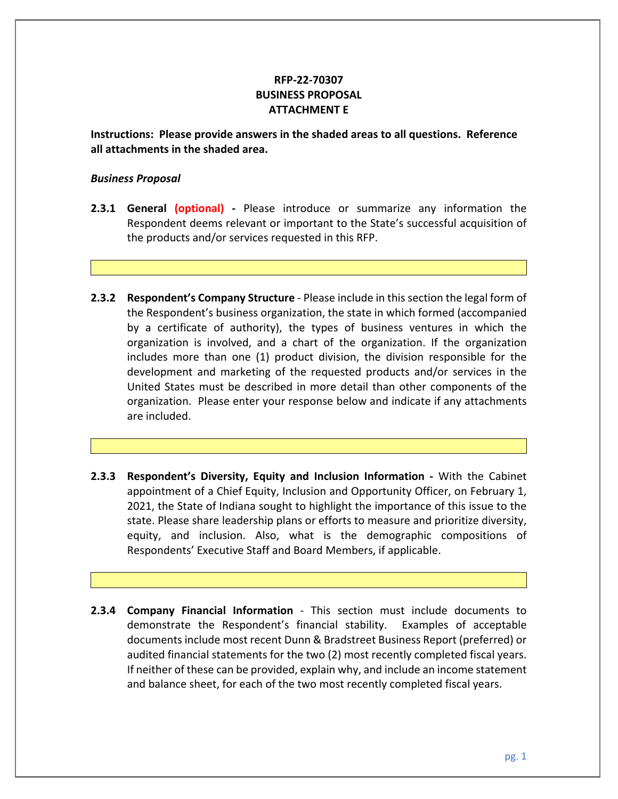## **RFP-22-70307 BUSINESS PROPOSAL ATTACHMENT E**

**Instructions: Please provide answers in the shaded areas to all questions. Reference all attachments in the shaded area.** 

## *Business Proposal*

- **2.3.1 General (optional) -** Please introduce or summarize any information the Respondent deems relevant or important to the State's successful acquisition of the products and/or services requested in this RFP.
- **2.3.2 Respondent's Company Structure**  Please include in this section the legal form of the Respondent's business organization, the state in which formed (accompanied by a certificate of authority), the types of business ventures in which the organization is involved, and a chart of the organization. If the organization includes more than one (1) product division, the division responsible for the development and marketing of the requested products and/or services in the United States must be described in more detail than other components of the organization. Please enter your response below and indicate if any attachments are included.
- **2.3.3 Respondent's Diversity, Equity and Inclusion Information -** With the Cabinet appointment of a Chief Equity, Inclusion and Opportunity Officer, on February 1, 2021, the State of Indiana sought to highlight the importance of this issue to the state. Please share leadership plans or efforts to measure and prioritize diversity, equity, and inclusion. Also, what is the demographic compositions of Respondents' Executive Staff and Board Members, if applicable.
- **2.3.4 Company Financial Information** This section must include documents to demonstrate the Respondent's financial stability. Examples of acceptable documents include most recent Dunn & Bradstreet Business Report (preferred) or audited financial statements for the two (2) most recently completed fiscal years. If neither of these can be provided, explain why, and include an income statement and balance sheet, for each of the two most recently completed fiscal years.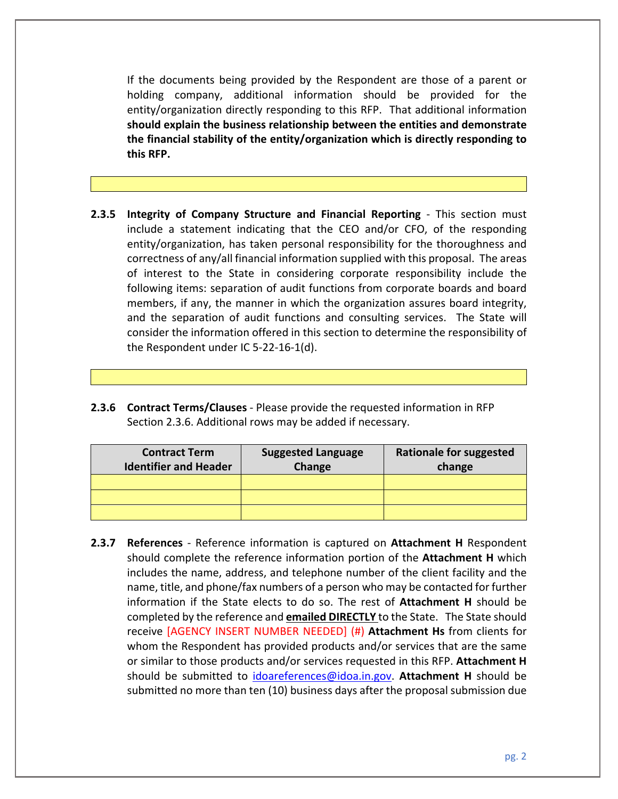If the documents being provided by the Respondent are those of a parent or holding company, additional information should be provided for the entity/organization directly responding to this RFP. That additional information **should explain the business relationship between the entities and demonstrate the financial stability of the entity/organization which is directly responding to this RFP.**

- **2.3.5 Integrity of Company Structure and Financial Reporting** This section must include a statement indicating that the CEO and/or CFO, of the responding entity/organization, has taken personal responsibility for the thoroughness and correctness of any/all financial information supplied with this proposal. The areas of interest to the State in considering corporate responsibility include the following items: separation of audit functions from corporate boards and board members, if any, the manner in which the organization assures board integrity, and the separation of audit functions and consulting services. The State will consider the information offered in this section to determine the responsibility of the Respondent under IC 5-22-16-1(d).
- **2.3.6 Contract Terms/Clauses**  Please provide the requested information in RFP Section 2.3.6. Additional rows may be added if necessary.

| <b>Contract Term</b><br><b>Identifier and Header</b> | <b>Suggested Language</b><br>Change | Rationale for suggested<br>change |
|------------------------------------------------------|-------------------------------------|-----------------------------------|
|                                                      |                                     |                                   |
|                                                      |                                     |                                   |
|                                                      |                                     |                                   |

**2.3.7 References** - Reference information is captured on **Attachment H** Respondent should complete the reference information portion of the **Attachment H** which includes the name, address, and telephone number of the client facility and the name, title, and phone/fax numbers of a person who may be contacted for further information if the State elects to do so. The rest of **Attachment H** should be completed by the reference and **emailed DIRECTLY** to the State. The State should receive [AGENCY INSERT NUMBER NEEDED] (#) **Attachment Hs** from clients for whom the Respondent has provided products and/or services that are the same or similar to those products and/or services requested in this RFP. **Attachment H** should be submitted to [idoareferences@idoa.in.gov.](mailto:idoareferences@idoa.in.gov) **Attachment H** should be submitted no more than ten (10) business days after the proposal submission due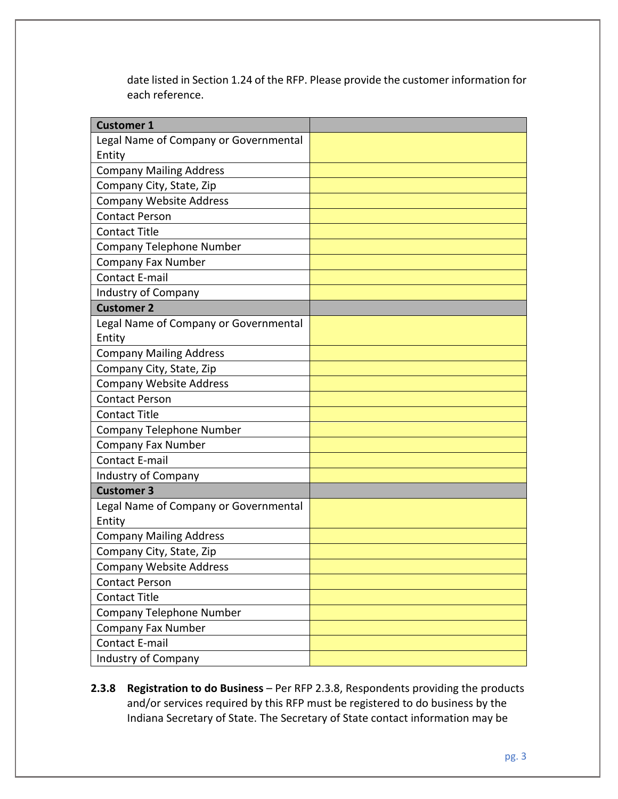date listed in Section 1.24 of the RFP. Please provide the customer information for each reference.

| <b>Customer 1</b>                     |  |
|---------------------------------------|--|
| Legal Name of Company or Governmental |  |
| Entity                                |  |
| <b>Company Mailing Address</b>        |  |
| Company City, State, Zip              |  |
| <b>Company Website Address</b>        |  |
| <b>Contact Person</b>                 |  |
| <b>Contact Title</b>                  |  |
| <b>Company Telephone Number</b>       |  |
| <b>Company Fax Number</b>             |  |
| <b>Contact E-mail</b>                 |  |
| <b>Industry of Company</b>            |  |
| <b>Customer 2</b>                     |  |
| Legal Name of Company or Governmental |  |
| Entity                                |  |
| <b>Company Mailing Address</b>        |  |
| Company City, State, Zip              |  |
| <b>Company Website Address</b>        |  |
| <b>Contact Person</b>                 |  |
| <b>Contact Title</b>                  |  |
| Company Telephone Number              |  |
| Company Fax Number                    |  |
| <b>Contact E-mail</b>                 |  |
| Industry of Company                   |  |
| <b>Customer 3</b>                     |  |
| Legal Name of Company or Governmental |  |
| Entity                                |  |
| <b>Company Mailing Address</b>        |  |
| Company City, State, Zip              |  |
| <b>Company Website Address</b>        |  |
| <b>Contact Person</b>                 |  |
| <b>Contact Title</b>                  |  |
| Company Telephone Number              |  |
| Company Fax Number                    |  |
| <b>Contact E-mail</b>                 |  |
| <b>Industry of Company</b>            |  |

2.3.8 **Registration to do Business** – Per RFP 2.3.8, Respondents providing the products and/or services required by this RFP must be registered to do business by the Indiana Secretary of State. The Secretary of State contact information may be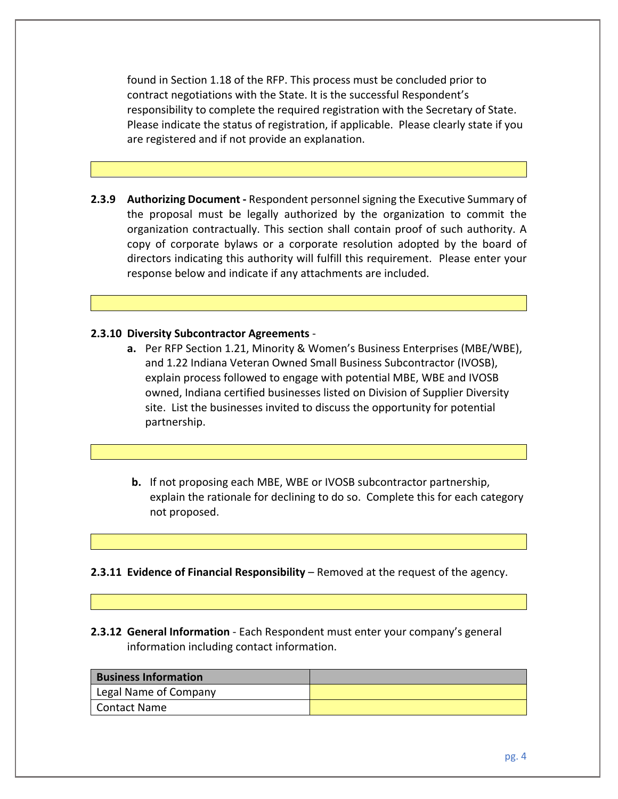found in Section 1.18 of the RFP. This process must be concluded prior to contract negotiations with the State. It is the successful Respondent's responsibility to complete the required registration with the Secretary of State. Please indicate the status of registration, if applicable. Please clearly state if you are registered and if not provide an explanation.

**2.3.9 Authorizing Document -** Respondent personnel signing the Executive Summary of the proposal must be legally authorized by the organization to commit the organization contractually. This section shall contain proof of such authority. A copy of corporate bylaws or a corporate resolution adopted by the board of directors indicating this authority will fulfill this requirement. Please enter your response below and indicate if any attachments are included.

## **2.3.10 Diversity Subcontractor Agreements** -

- **a.** Per RFP Section 1.21, Minority & Women's Business Enterprises (MBE/WBE), and 1.22 Indiana Veteran Owned Small Business Subcontractor (IVOSB), explain process followed to engage with potential MBE, WBE and IVOSB owned, Indiana certified businesses listed on Division of Supplier Diversity site. List the businesses invited to discuss the opportunity for potential partnership.
- **b.** If not proposing each MBE, WBE or IVOSB subcontractor partnership, explain the rationale for declining to do so. Complete this for each category not proposed.

**2.3.11 Evidence of Financial Responsibility** – Removed at the request of the agency.

**2.3.12 General Information** - Each Respondent must enter your company's general information including contact information.

| <b>Business Information</b> |  |
|-----------------------------|--|
| Legal Name of Company       |  |
| Contact Name                |  |